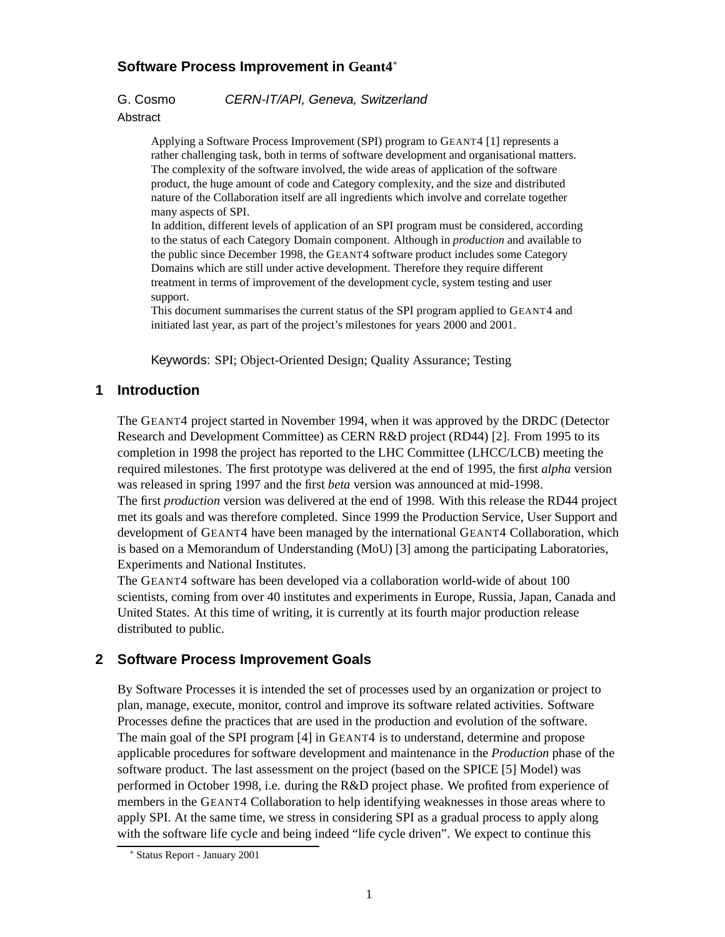## **Software Process Improvement in Geant4**

G. Cosmo CERN-IT/API, Geneva, Switzerland

Abstract

Applying a Software Process Improvement (SPI) program to GEANT4 [1] represents a rather challenging task, both in terms of software development and organisational matters. The complexity of the software involved, the wide areas of application of the software product, the huge amount of code and Category complexity, and the size and distributed nature of the Collaboration itself are all ingredients which involve and correlate together many aspects of SPI.

In addition, different levels of application of an SPI program must be considered, according to the status of each Category Domain component. Although in *production* and available to the public since December 1998, the GEANT4 software product includes some Category Domains which are still under active development. Therefore they require different treatment in terms of improvement of the development cycle, system testing and user support.

This document summarises the current status of the SPI program applied to GEANT4 and initiated last year, as part of the project's milestones for years 2000 and 2001.

Keywords: SPI; Object-Oriented Design; Quality Assurance; Testing

# **1 Introduction**

The GEANT4 project started in November 1994, when it was approved by the DRDC (Detector Research and Development Committee) as CERN R&D project (RD44) [2]. From 1995 to its completion in 1998 the project has reported to the LHC Committee (LHCC/LCB) meeting the required milestones. The first prototype was delivered at the end of 1995, the first *alpha* version was released in spring 1997 and the first *beta* version was announced at mid-1998. The first *production* version was delivered at the end of 1998. With this release the RD44 project met its goals and was therefore completed. Since 1999 the Production Service, User Support and development of GEANT4 have been managed by the international GEANT4 Collaboration, which is based on a Memorandum of Understanding (MoU) [3] among the participating Laboratories, Experiments and National Institutes.

The GEANT4 software has been developed via a collaboration world-wide of about 100 scientists, coming from over 40 institutes and experiments in Europe, Russia, Japan, Canada and United States. At this time of writing, it is currently at its fourth major production release distributed to public.

# **2 Software Process Improvement Goals**

By Software Processes it is intended the set of processes used by an organization or project to plan, manage, execute, monitor, control and improve its software related activities. Software Processes define the practices that are used in the production and evolution of the software. The main goal of the SPI program [4] in GEANT4 is to understand, determine and propose applicable procedures for software development and maintenance in the *Production* phase of the software product. The last assessment on the project (based on the SPICE [5] Model) was performed in October 1998, i.e. during the R&D project phase. We profited from experience of members in the GEANT4 Collaboration to help identifying weaknesses in those areas where to apply SPI. At the same time, we stress in considering SPI as a gradual process to apply along with the software life cycle and being indeed "life cycle driven". We expect to continue this

Status Report - January 2001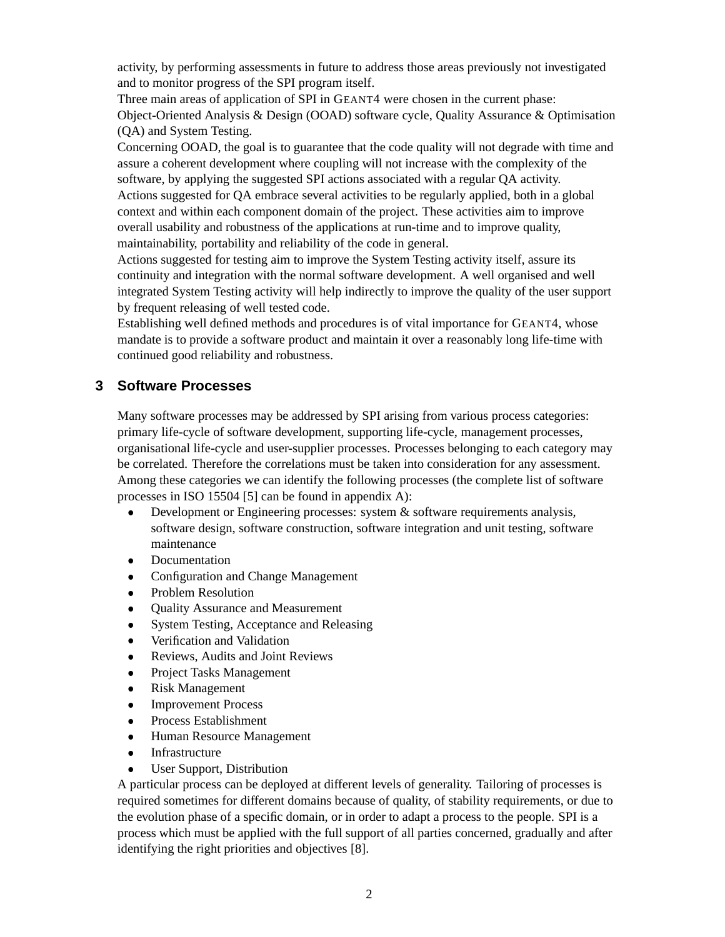activity, by performing assessments in future to address those areas previously not investigated and to monitor progress of the SPI program itself.

Three main areas of application of SPI in GEANT4 were chosen in the current phase: Object-Oriented Analysis & Design (OOAD) software cycle, Quality Assurance & Optimisation (QA) and System Testing.

Concerning OOAD, the goal is to guarantee that the code quality will not degrade with time and assure a coherent development where coupling will not increase with the complexity of the software, by applying the suggested SPI actions associated with a regular QA activity. Actions suggested for QA embrace several activities to be regularly applied, both in a global context and within each component domain of the project. These activities aim to improve overall usability and robustness of the applications at run-time and to improve quality, maintainability, portability and reliability of the code in general.

Actions suggested for testing aim to improve the System Testing activity itself, assure its continuity and integration with the normal software development. A well organised and well integrated System Testing activity will help indirectly to improve the quality of the user support by frequent releasing of well tested code.

Establishing well defined methods and procedures is of vital importance for GEANT4, whose mandate is to provide a software product and maintain it over a reasonably long life-time with continued good reliability and robustness.

# **3 Software Processes**

Many software processes may be addressed by SPI arising from various process categories: primary life-cycle of software development, supporting life-cycle, management processes, organisational life-cycle and user-supplier processes. Processes belonging to each category may be correlated. Therefore the correlations must be taken into consideration for any assessment. Among these categories we can identify the following processes (the complete list of software processes in ISO 15504 [5] can be found in appendix A):

- Development or Engineering processes: system & software requirements analysis, software design, software construction, software integration and unit testing, software maintenance
- $\bullet$ Documentation
- $\bullet$ Configuration and Change Management
- Problem Resolution
- $\bullet$ Quality Assurance and Measurement
- $\bullet$ System Testing, Acceptance and Releasing
- $\bullet$ Verification and Validation
- $\bullet$ Reviews, Audits and Joint Reviews
- $\bullet$ Project Tasks Management
- $\bullet$ Risk Management
- $\bullet$ Improvement Process
- $\bullet$ Process Establishment
- $\bullet$ Human Resource Management
- $\bullet$ Infrastructure
- User Support, Distribution

A particular process can be deployed at different levels of generality. Tailoring of processes is required sometimes for different domains because of quality, of stability requirements, or due to the evolution phase of a specific domain, or in order to adapt a process to the people. SPI is a process which must be applied with the full support of all parties concerned, gradually and after identifying the right priorities and objectives [8].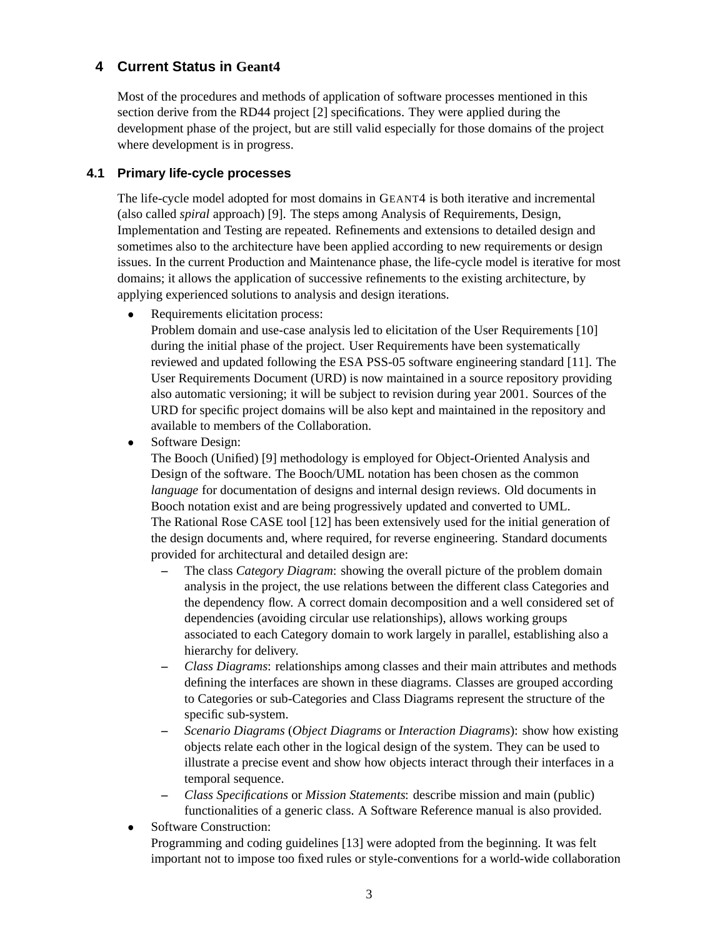## **4 Current Status in Geant4**

Most of the procedures and methods of application of software processes mentioned in this section derive from the RD44 project [2] specifications. They were applied during the development phase of the project, but are still valid especially for those domains of the project where development is in progress.

## **4.1 Primary life-cycle processes**

The life-cycle model adopted for most domains in GEANT4 is both iterative and incremental (also called *spiral* approach) [9]. The steps among Analysis of Requirements, Design, Implementation and Testing are repeated. Refinements and extensions to detailed design and sometimes also to the architecture have been applied according to new requirements or design issues. In the current Production and Maintenance phase, the life-cycle model is iterative for most domains; it allows the application of successive refinements to the existing architecture, by applying experienced solutions to analysis and design iterations.

 $\bullet$ Requirements elicitation process:

Problem domain and use-case analysis led to elicitation of the User Requirements [10] during the initial phase of the project. User Requirements have been systematically reviewed and updated following the ESA PSS-05 software engineering standard [11]. The User Requirements Document (URD) is now maintained in a source repository providing also automatic versioning; it will be subject to revision during year 2001. Sources of the URD for specific project domains will be also kept and maintained in the repository and available to members of the Collaboration.

 $\bullet$ Software Design:

> The Booch (Unified) [9] methodology is employed for Object-Oriented Analysis and Design of the software. The Booch/UML notation has been chosen as the common *language* for documentation of designs and internal design reviews. Old documents in Booch notation exist and are being progressively updated and converted to UML. The Rational Rose CASE tool [12] has been extensively used for the initial generation of the design documents and, where required, for reverse engineering. Standard documents provided for architectural and detailed design are:

- **–** The class *Category Diagram*: showing the overall picture of the problem domain analysis in the project, the use relations between the different class Categories and the dependency flow. A correct domain decomposition and a well considered set of dependencies (avoiding circular use relationships), allows working groups associated to each Category domain to work largely in parallel, establishing also a hierarchy for delivery.
- **–** *Class Diagrams*: relationships among classes and their main attributes and methods defining the interfaces are shown in these diagrams. Classes are grouped according to Categories or sub-Categories and Class Diagrams represent the structure of the specific sub-system.
- **–** *Scenario Diagrams* (*Object Diagrams* or *Interaction Diagrams*): show how existing objects relate each other in the logical design of the system. They can be used to illustrate a precise event and show how objects interact through their interfaces in a temporal sequence.
- **–** *Class Specifications* or *Mission Statements*: describe mission and main (public) functionalities of a generic class. A Software Reference manual is also provided.
- Software Construction: Programming and coding guidelines [13] were adopted from the beginning. It was felt important not to impose too fixed rules or style-conventions for a world-wide collaboration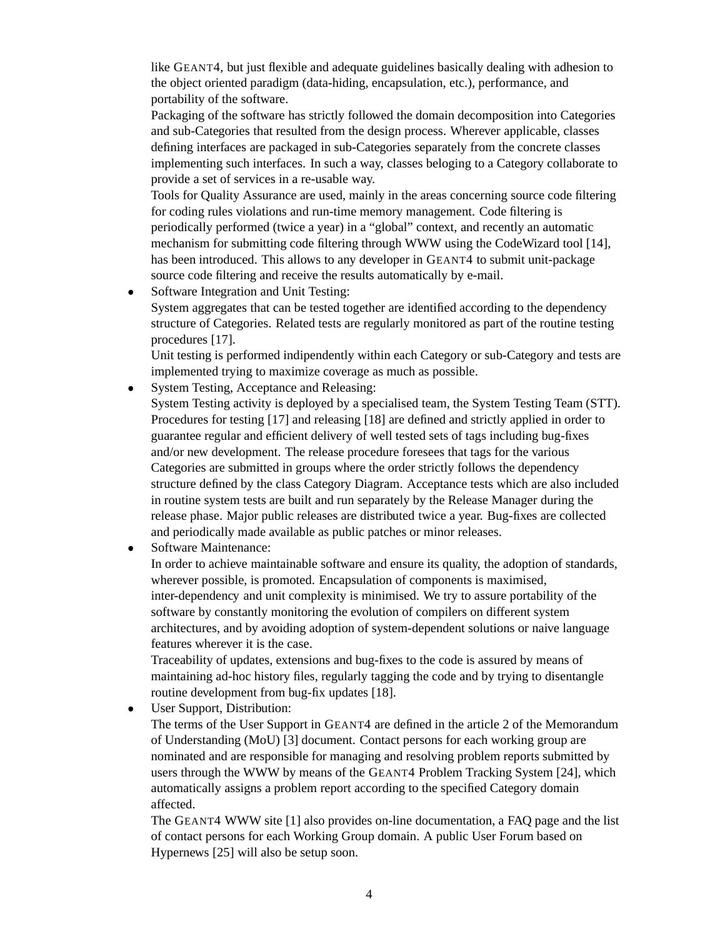like GEANT4, but just flexible and adequate guidelines basically dealing with adhesion to the object oriented paradigm (data-hiding, encapsulation, etc.), performance, and portability of the software.

Packaging of the software has strictly followed the domain decomposition into Categories and sub-Categories that resulted from the design process. Wherever applicable, classes defining interfaces are packaged in sub-Categories separately from the concrete classes implementing such interfaces. In such a way, classes beloging to a Category collaborate to provide a set of services in a re-usable way.

Tools for Quality Assurance are used, mainly in the areas concerning source code filtering for coding rules violations and run-time memory management. Code filtering is periodically performed (twice a year) in a "global" context, and recently an automatic mechanism for submitting code filtering through WWW using the CodeWizard tool [14], has been introduced. This allows to any developer in GEANT4 to submit unit-package source code filtering and receive the results automatically by e-mail.

 $\bullet$  Software Integration and Unit Testing: System aggregates that can be tested together are identified according to the dependency structure of Categories. Related tests are regularly monitored as part of the routine testing procedures [17].

Unit testing is performed indipendently within each Category or sub-Category and tests are implemented trying to maximize coverage as much as possible.

 $\bullet$ System Testing, Acceptance and Releasing:

System Testing activity is deployed by a specialised team, the System Testing Team (STT). Procedures for testing [17] and releasing [18] are defined and strictly applied in order to guarantee regular and efficient delivery of well tested sets of tags including bug-fixes and/or new development. The release procedure foresees that tags for the various Categories are submitted in groups where the order strictly follows the dependency structure defined by the class Category Diagram. Acceptance tests which are also included in routine system tests are built and run separately by the Release Manager during the release phase. Major public releases are distributed twice a year. Bug-fixes are collected and periodically made available as public patches or minor releases.

 $\bullet$ Software Maintenance:

> In order to achieve maintainable software and ensure its quality, the adoption of standards, wherever possible, is promoted. Encapsulation of components is maximised, inter-dependency and unit complexity is minimised. We try to assure portability of the software by constantly monitoring the evolution of compilers on different system architectures, and by avoiding adoption of system-dependent solutions or naive language features wherever it is the case.

Traceability of updates, extensions and bug-fixes to the code is assured by means of maintaining ad-hoc history files, regularly tagging the code and by trying to disentangle routine development from bug-fix updates [18].

 $\bullet$ User Support, Distribution:

> The terms of the User Support in GEANT4 are defined in the article 2 of the Memorandum of Understanding (MoU) [3] document. Contact persons for each working group are nominated and are responsible for managing and resolving problem reports submitted by users through the WWW by means of the GEANT4 Problem Tracking System [24], which automatically assigns a problem report according to the specified Category domain affected.

> The GEANT4 WWW site [1] also provides on-line documentation, a FAQ page and the list of contact persons for each Working Group domain. A public User Forum based on Hypernews [25] will also be setup soon.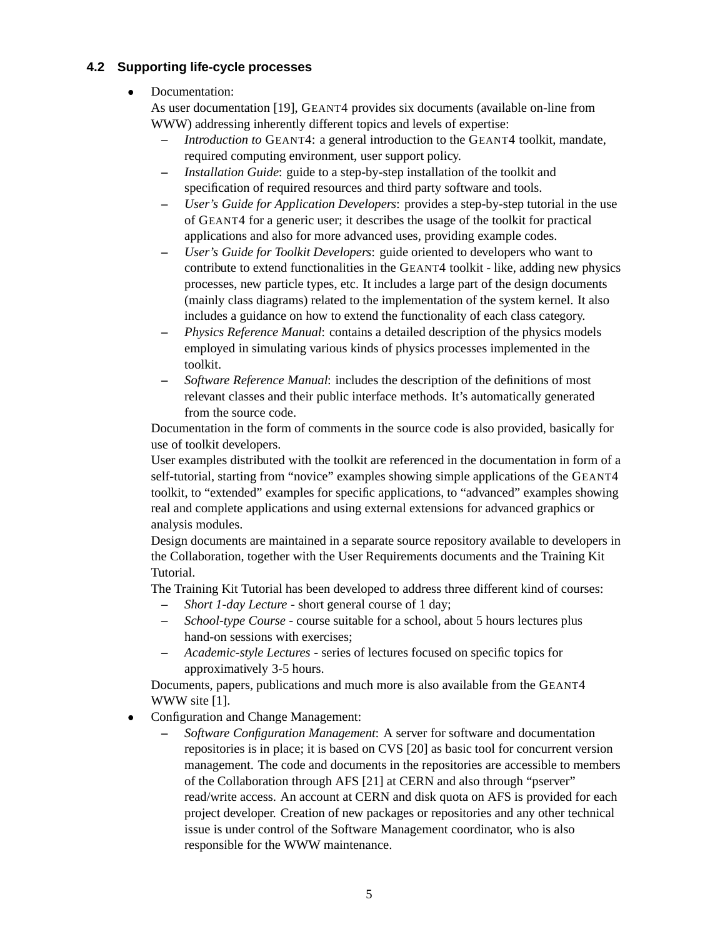## **4.2 Supporting life-cycle processes**

#### $\bullet$ Documentation:

As user documentation [19], GEANT4 provides six documents (available on-line from WWW) addressing inherently different topics and levels of expertise:

- **–** *Introduction to* GEANT4: a general introduction to the GEANT4 toolkit, mandate, required computing environment, user support policy.
- **–** *Installation Guide*: guide to a step-by-step installation of the toolkit and specification of required resources and third party software and tools.
- **–** *User's Guide for Application Developers*: provides a step-by-step tutorial in the use of GEANT4 for a generic user; it describes the usage of the toolkit for practical applications and also for more advanced uses, providing example codes.
- **–** *User's Guide for Toolkit Developers*: guide oriented to developers who want to contribute to extend functionalities in the GEANT4 toolkit - like, adding new physics processes, new particle types, etc. It includes a large part of the design documents (mainly class diagrams) related to the implementation of the system kernel. It also includes a guidance on how to extend the functionality of each class category.
- **–** *Physics Reference Manual*: contains a detailed description of the physics models employed in simulating various kinds of physics processes implemented in the toolkit.
- **–** *Software Reference Manual*: includes the description of the definitions of most relevant classes and their public interface methods. It's automatically generated from the source code.

Documentation in the form of comments in the source code is also provided, basically for use of toolkit developers.

User examples distributed with the toolkit are referenced in the documentation in form of a self-tutorial, starting from "novice" examples showing simple applications of the GEANT4 toolkit, to "extended" examples for specific applications, to "advanced" examples showing real and complete applications and using external extensions for advanced graphics or analysis modules.

Design documents are maintained in a separate source repository available to developers in the Collaboration, together with the User Requirements documents and the Training Kit Tutorial.

The Training Kit Tutorial has been developed to address three different kind of courses:

- **–** *Short 1-day Lecture* short general course of 1 day;
- **–** *School-type Course* course suitable for a school, about 5 hours lectures plus hand-on sessions with exercises;
- **–** *Academic-style Lectures* series of lectures focused on specific topics for approximatively 3-5 hours.

Documents, papers, publications and much more is also available from the GEANT4 WWW site [1].

- $\bullet$  Configuration and Change Management:
	- **–** *Software Configuration Management*: A server for software and documentation repositories is in place; it is based on CVS [20] as basic tool for concurrent version management. The code and documents in the repositories are accessible to members of the Collaboration through AFS [21] at CERN and also through "pserver" read/write access. An account at CERN and disk quota on AFS is provided for each project developer. Creation of new packages or repositories and any other technical issue is under control of the Software Management coordinator, who is also responsible for the WWW maintenance.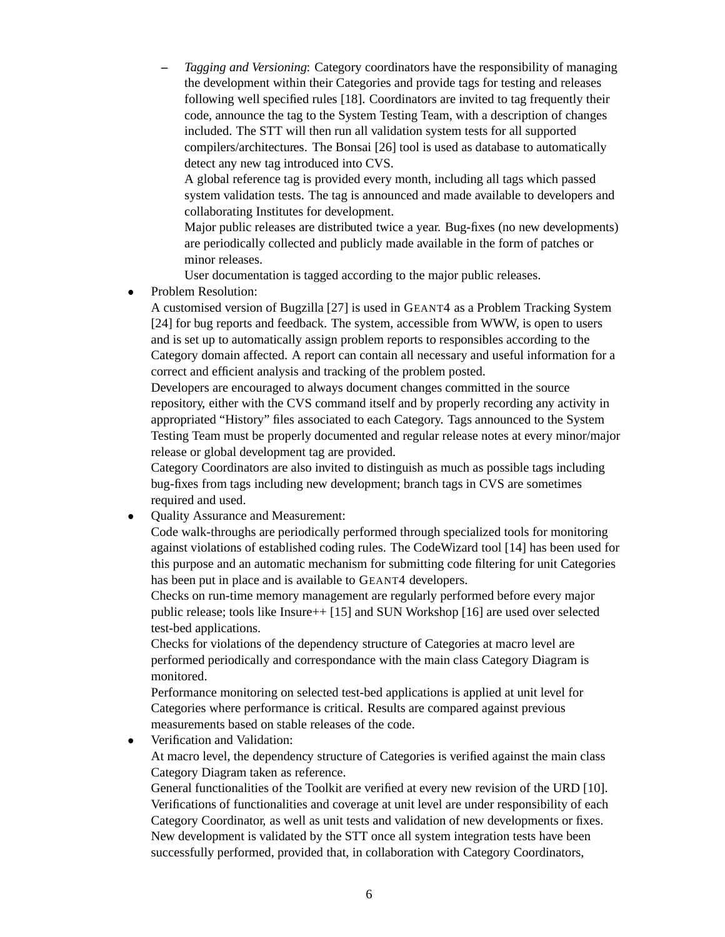**–** *Tagging and Versioning*: Category coordinators have the responsibility of managing the development within their Categories and provide tags for testing and releases following well specified rules [18]. Coordinators are invited to tag frequently their code, announce the tag to the System Testing Team, with a description of changes included. The STT will then run all validation system tests for all supported compilers/architectures. The Bonsai [26] tool is used as database to automatically detect any new tag introduced into CVS.

A global reference tag is provided every month, including all tags which passed system validation tests. The tag is announced and made available to developers and collaborating Institutes for development.

Major public releases are distributed twice a year. Bug-fixes (no new developments) are periodically collected and publicly made available in the form of patches or minor releases.

User documentation is tagged according to the major public releases.

 $\bullet$ Problem Resolution:

> A customised version of Bugzilla [27] is used in GEANT4 as a Problem Tracking System [24] for bug reports and feedback. The system, accessible from WWW, is open to users and is set up to automatically assign problem reports to responsibles according to the Category domain affected. A report can contain all necessary and useful information for a correct and efficient analysis and tracking of the problem posted.

> Developers are encouraged to always document changes committed in the source repository, either with the CVS command itself and by properly recording any activity in appropriated "History" files associated to each Category. Tags announced to the System Testing Team must be properly documented and regular release notes at every minor/major release or global development tag are provided.

Category Coordinators are also invited to distinguish as much as possible tags including bug-fixes from tags including new development; branch tags in CVS are sometimes required and used.

 $\bullet$ Quality Assurance and Measurement:

> Code walk-throughs are periodically performed through specialized tools for monitoring against violations of established coding rules. The CodeWizard tool [14] has been used for this purpose and an automatic mechanism for submitting code filtering for unit Categories has been put in place and is available to GEANT4 developers.

Checks on run-time memory management are regularly performed before every major public release; tools like Insure++ [15] and SUN Workshop [16] are used over selected test-bed applications.

Checks for violations of the dependency structure of Categories at macro level are performed periodically and correspondance with the main class Category Diagram is monitored.

Performance monitoring on selected test-bed applications is applied at unit level for Categories where performance is critical. Results are compared against previous measurements based on stable releases of the code.

 $\bullet$ Verification and Validation:

At macro level, the dependency structure of Categories is verified against the main class Category Diagram taken as reference.

General functionalities of the Toolkit are verified at every new revision of the URD [10]. Verifications of functionalities and coverage at unit level are under responsibility of each Category Coordinator, as well as unit tests and validation of new developments or fixes. New development is validated by the STT once all system integration tests have been successfully performed, provided that, in collaboration with Category Coordinators,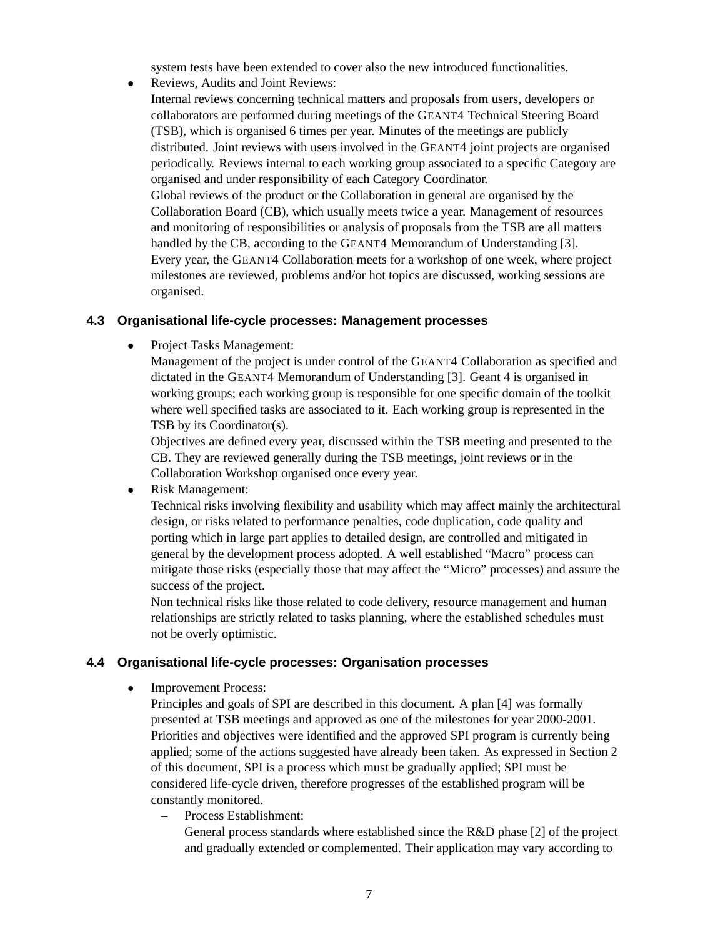system tests have been extended to cover also the new introduced functionalities.

- $\bullet$  Reviews, Audits and Joint Reviews:
	- Internal reviews concerning technical matters and proposals from users, developers or collaborators are performed during meetings of the GEANT4 Technical Steering Board (TSB), which is organised 6 times per year. Minutes of the meetings are publicly distributed. Joint reviews with users involved in the GEANT4 joint projects are organised periodically. Reviews internal to each working group associated to a specific Category are organised and under responsibility of each Category Coordinator. Global reviews of the product or the Collaboration in general are organised by the Collaboration Board (CB), which usually meets twice a year. Management of resources and monitoring of responsibilities or analysis of proposals from the TSB are all matters

handled by the CB, according to the GEANT4 Memorandum of Understanding [3]. Every year, the GEANT4 Collaboration meets for a workshop of one week, where project milestones are reviewed, problems and/or hot topics are discussed, working sessions are organised.

#### **4.3 Organisational life-cycle processes: Management processes**

 $\bullet$ Project Tasks Management:

> Management of the project is under control of the GEANT4 Collaboration as specified and dictated in the GEANT4 Memorandum of Understanding [3]. Geant 4 is organised in working groups; each working group is responsible for one specific domain of the toolkit where well specified tasks are associated to it. Each working group is represented in the TSB by its Coordinator(s).

Objectives are defined every year, discussed within the TSB meeting and presented to the CB. They are reviewed generally during the TSB meetings, joint reviews or in the Collaboration Workshop organised once every year.

 $\bullet$ Risk Management:

> Technical risks involving flexibility and usability which may affect mainly the architectural design, or risks related to performance penalties, code duplication, code quality and porting which in large part applies to detailed design, are controlled and mitigated in general by the development process adopted. A well established "Macro" process can mitigate those risks (especially those that may affect the "Micro" processes) and assure the success of the project.

Non technical risks like those related to code delivery, resource management and human relationships are strictly related to tasks planning, where the established schedules must not be overly optimistic.

## **4.4 Organisational life-cycle processes: Organisation processes**

 $\bullet$ Improvement Process:

> Principles and goals of SPI are described in this document. A plan [4] was formally presented at TSB meetings and approved as one of the milestones for year 2000-2001. Priorities and objectives were identified and the approved SPI program is currently being applied; some of the actions suggested have already been taken. As expressed in Section 2 of this document, SPI is a process which must be gradually applied; SPI must be considered life-cycle driven, therefore progresses of the established program will be constantly monitored.

**–** Process Establishment:

General process standards where established since the R&D phase [2] of the project and gradually extended or complemented. Their application may vary according to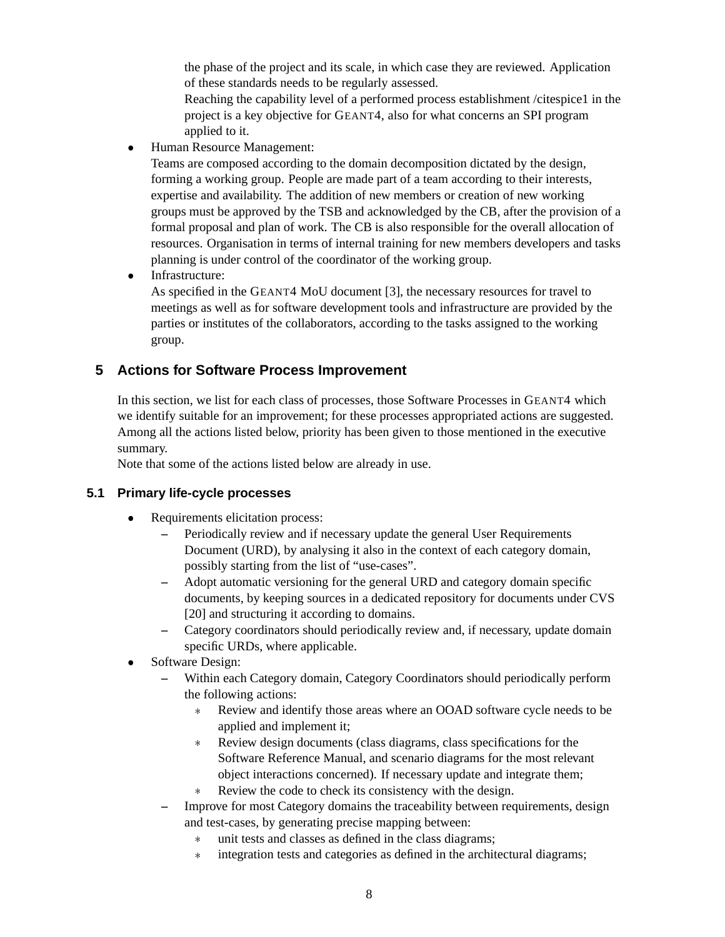the phase of the project and its scale, in which case they are reviewed. Application of these standards needs to be regularly assessed.

Reaching the capability level of a performed process establishment /citespice1 in the project is a key objective for GEANT4, also for what concerns an SPI program applied to it.

 $\bullet$ Human Resource Management:

> Teams are composed according to the domain decomposition dictated by the design, forming a working group. People are made part of a team according to their interests, expertise and availability. The addition of new members or creation of new working groups must be approved by the TSB and acknowledged by the CB, after the provision of a formal proposal and plan of work. The CB is also responsible for the overall allocation of resources. Organisation in terms of internal training for new members developers and tasks planning is under control of the coordinator of the working group.

 $\bullet$ Infrastructure:

> As specified in the GEANT4 MoU document [3], the necessary resources for travel to meetings as well as for software development tools and infrastructure are provided by the parties or institutes of the collaborators, according to the tasks assigned to the working group.

# **5 Actions for Software Process Improvement**

In this section, we list for each class of processes, those Software Processes in GEANT4 which we identify suitable for an improvement; for these processes appropriated actions are suggested. Among all the actions listed below, priority has been given to those mentioned in the executive summary.

Note that some of the actions listed below are already in use.

## **5.1 Primary life-cycle processes**

- $\bullet$  Requirements elicitation process:
	- **–** Periodically review and if necessary update the general User Requirements Document (URD), by analysing it also in the context of each category domain, possibly starting from the list of "use-cases".
	- **–** Adopt automatic versioning for the general URD and category domain specific documents, by keeping sources in a dedicated repository for documents under CVS [20] and structuring it according to domains.
	- **–** Category coordinators should periodically review and, if necessary, update domain specific URDs, where applicable.
- Software Design:
	- **–** Within each Category domain, Category Coordinators should periodically perform the following actions:
		- Review and identify those areas where an OOAD software cycle needs to be applied and implement it;
		- Review design documents (class diagrams, class specifications for the Software Reference Manual, and scenario diagrams for the most relevant object interactions concerned). If necessary update and integrate them;
		- Review the code to check its consistency with the design.
	- **–** Improve for most Category domains the traceability between requirements, design and test-cases, by generating precise mapping between:
		- unit tests and classes as defined in the class diagrams;
		- integration tests and categories as defined in the architectural diagrams;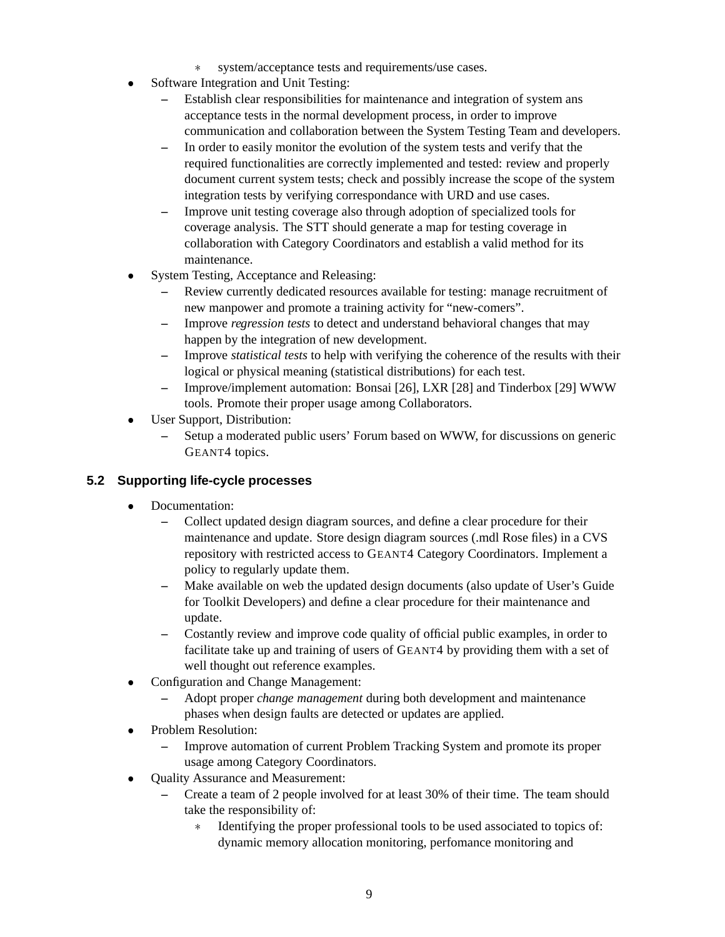- system/acceptance tests and requirements/use cases.
- Software Integration and Unit Testing:
	- **–** Establish clear responsibilities for maintenance and integration of system ans acceptance tests in the normal development process, in order to improve communication and collaboration between the System Testing Team and developers.
	- **–** In order to easily monitor the evolution of the system tests and verify that the required functionalities are correctly implemented and tested: review and properly document current system tests; check and possibly increase the scope of the system integration tests by verifying correspondance with URD and use cases.
	- **–** Improve unit testing coverage also through adoption of specialized tools for coverage analysis. The STT should generate a map for testing coverage in collaboration with Category Coordinators and establish a valid method for its maintenance.
- System Testing, Acceptance and Releasing:
	- **–** Review currently dedicated resources available for testing: manage recruitment of new manpower and promote a training activity for "new-comers".
	- **–** Improve *regression tests* to detect and understand behavioral changes that may happen by the integration of new development.
	- **–** Improve *statistical tests* to help with verifying the coherence of the results with their logical or physical meaning (statistical distributions) for each test.
	- **–** Improve/implement automation: Bonsai [26], LXR [28] and Tinderbox [29] WWW tools. Promote their proper usage among Collaborators.
- - User Support, Distribution:
	- **–** Setup a moderated public users' Forum based on WWW, for discussions on generic GEANT4 topics.

# **5.2 Supporting life-cycle processes**

- $\bullet$  Documentation:
	- **–** Collect updated design diagram sources, and define a clear procedure for their maintenance and update. Store design diagram sources (.mdl Rose files) in a CVS repository with restricted access to GEANT4 Category Coordinators. Implement a policy to regularly update them.
	- **–** Make available on web the updated design documents (also update of User's Guide for Toolkit Developers) and define a clear procedure for their maintenance and update.
	- **–** Costantly review and improve code quality of official public examples, in order to facilitate take up and training of users of GEANT4 by providing them with a set of well thought out reference examples.
- Configuration and Change Management:
	- **–** Adopt proper *change management* during both development and maintenance phases when design faults are detected or updates are applied.
- Problem Resolution:
	- **–** Improve automation of current Problem Tracking System and promote its proper usage among Category Coordinators.
- Quality Assurance and Measurement:
	- **–** Create a team of 2 people involved for at least 30% of their time. The team should take the responsibility of:
		- Identifying the proper professional tools to be used associated to topics of: dynamic memory allocation monitoring, perfomance monitoring and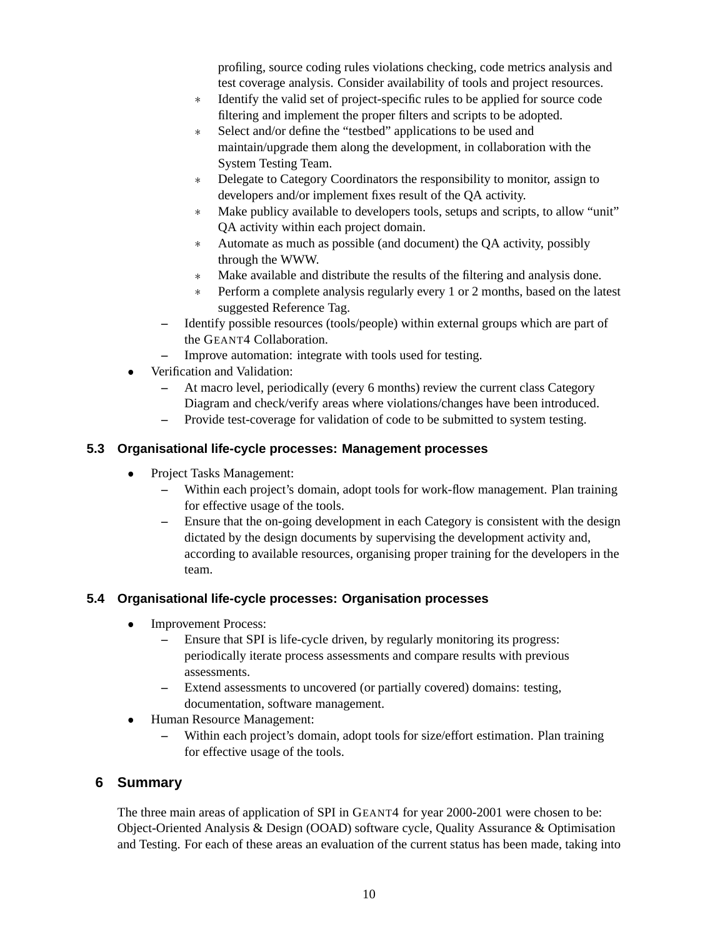profiling, source coding rules violations checking, code metrics analysis and test coverage analysis. Consider availability of tools and project resources.

- Identify the valid set of project-specific rules to be applied for source code filtering and implement the proper filters and scripts to be adopted.
- Select and/or define the "testbed" applications to be used and maintain/upgrade them along the development, in collaboration with the System Testing Team.
- \* Delegate to Category Coordinators the responsibility to monitor, assign to developers and/or implement fixes result of the QA activity.
- Make publicy available to developers tools, setups and scripts, to allow "unit" QA activity within each project domain.
- Automate as much as possible (and document) the QA activity, possibly through the WWW.
- Make available and distribute the results of the filtering and analysis done.
- Perform a complete analysis regularly every 1 or 2 months, based on the latest suggested Reference Tag.
- **–** Identify possible resources (tools/people) within external groups which are part of the GEANT4 Collaboration.
- **–** Improve automation: integrate with tools used for testing.
- - Verification and Validation:
	- **–** At macro level, periodically (every 6 months) review the current class Category Diagram and check/verify areas where violations/changes have been introduced.
	- **–** Provide test-coverage for validation of code to be submitted to system testing.

## **5.3 Organisational life-cycle processes: Management processes**

- $\bullet$  Project Tasks Management:
	- **–** Within each project's domain, adopt tools for work-flow management. Plan training for effective usage of the tools.
	- **–** Ensure that the on-going development in each Category is consistent with the design dictated by the design documents by supervising the development activity and, according to available resources, organising proper training for the developers in the team.

## **5.4 Organisational life-cycle processes: Organisation processes**

- $\bullet$  Improvement Process:
	- **–** Ensure that SPI is life-cycle driven, by regularly monitoring its progress: periodically iterate process assessments and compare results with previous assessments.
	- **–** Extend assessments to uncovered (or partially covered) domains: testing, documentation, software management.
- $\bullet$  Human Resource Management:
	- **–** Within each project's domain, adopt tools for size/effort estimation. Plan training for effective usage of the tools.

# **6 Summary**

The three main areas of application of SPI in GEANT4 for year 2000-2001 were chosen to be: Object-Oriented Analysis & Design (OOAD) software cycle, Quality Assurance & Optimisation and Testing. For each of these areas an evaluation of the current status has been made, taking into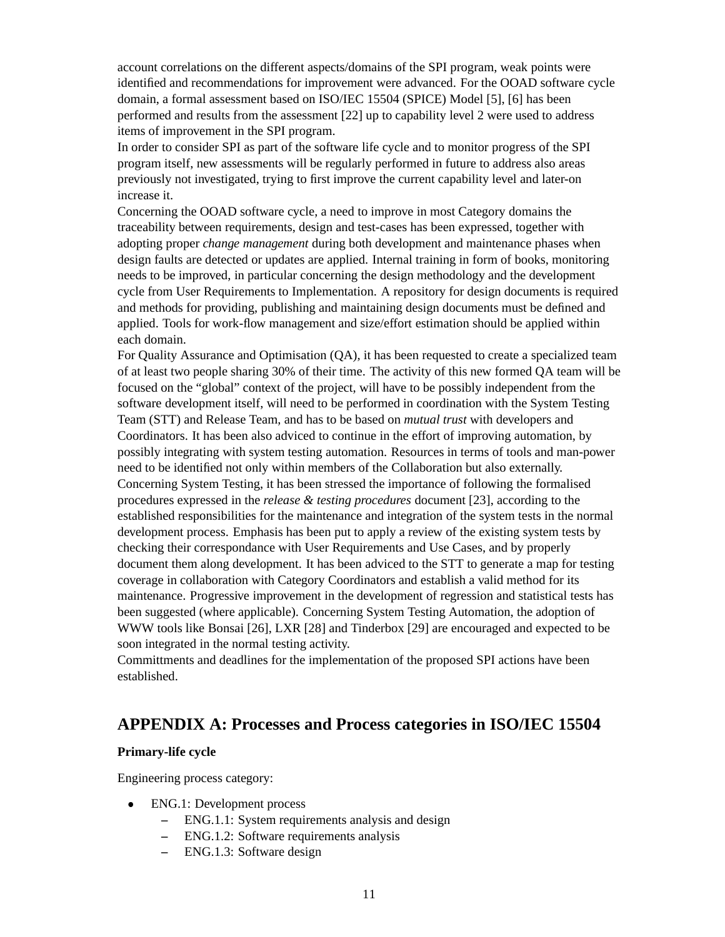account correlations on the different aspects/domains of the SPI program, weak points were identified and recommendations for improvement were advanced. For the OOAD software cycle domain, a formal assessment based on ISO/IEC 15504 (SPICE) Model [5], [6] has been performed and results from the assessment [22] up to capability level 2 were used to address items of improvement in the SPI program.

In order to consider SPI as part of the software life cycle and to monitor progress of the SPI program itself, new assessments will be regularly performed in future to address also areas previously not investigated, trying to first improve the current capability level and later-on increase it.

Concerning the OOAD software cycle, a need to improve in most Category domains the traceability between requirements, design and test-cases has been expressed, together with adopting proper *change management* during both development and maintenance phases when design faults are detected or updates are applied. Internal training in form of books, monitoring needs to be improved, in particular concerning the design methodology and the development cycle from User Requirements to Implementation. A repository for design documents is required and methods for providing, publishing and maintaining design documents must be defined and applied. Tools for work-flow management and size/effort estimation should be applied within each domain.

For Quality Assurance and Optimisation (QA), it has been requested to create a specialized team of at least two people sharing 30% of their time. The activity of this new formed QA team will be focused on the "global" context of the project, will have to be possibly independent from the software development itself, will need to be performed in coordination with the System Testing Team (STT) and Release Team, and has to be based on *mutual trust* with developers and Coordinators. It has been also adviced to continue in the effort of improving automation, by possibly integrating with system testing automation. Resources in terms of tools and man-power need to be identified not only within members of the Collaboration but also externally. Concerning System Testing, it has been stressed the importance of following the formalised procedures expressed in the *release & testing procedures* document [23], according to the established responsibilities for the maintenance and integration of the system tests in the normal development process. Emphasis has been put to apply a review of the existing system tests by checking their correspondance with User Requirements and Use Cases, and by properly document them along development. It has been adviced to the STT to generate a map for testing coverage in collaboration with Category Coordinators and establish a valid method for its maintenance. Progressive improvement in the development of regression and statistical tests has been suggested (where applicable). Concerning System Testing Automation, the adoption of WWW tools like Bonsai [26], LXR [28] and Tinderbox [29] are encouraged and expected to be soon integrated in the normal testing activity.

Committments and deadlines for the implementation of the proposed SPI actions have been established.

# **APPENDIX A: Processes and Process categories in ISO/IEC 15504**

#### **Primary-life cycle**

Engineering process category:

- $\bullet$  ENG.1: Development process
	- **–** ENG.1.1: System requirements analysis and design
	- **–** ENG.1.2: Software requirements analysis
	- **–** ENG.1.3: Software design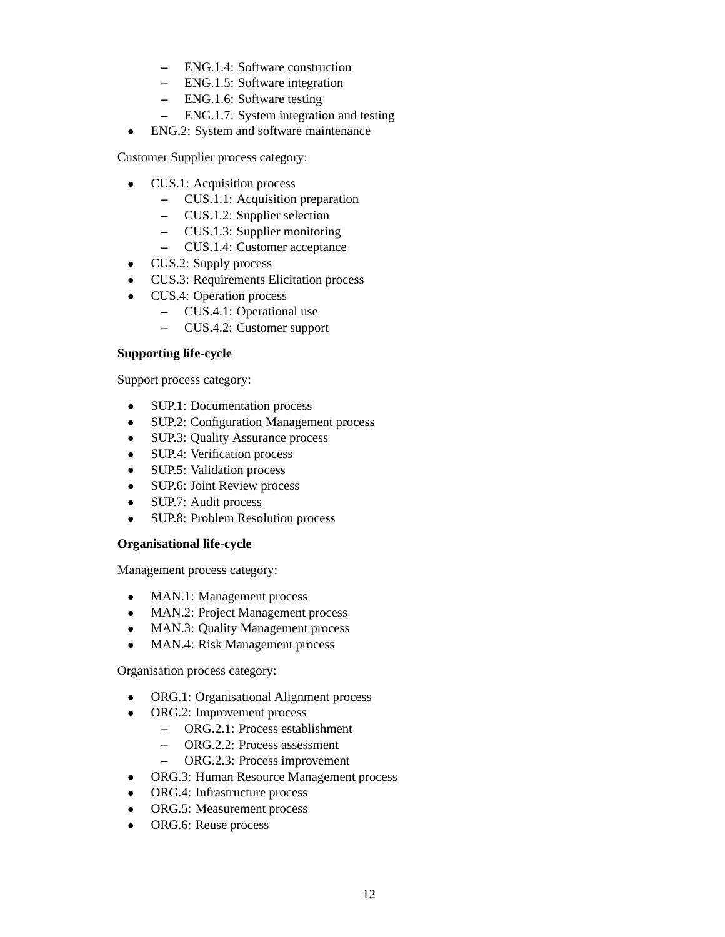- **–** ENG.1.4: Software construction
- **–** ENG.1.5: Software integration
- **–** ENG.1.6: Software testing
- **–** ENG.1.7: System integration and testing
- $\bullet$ ENG.2: System and software maintenance

Customer Supplier process category:

- - CUS.1: Acquisition process
	- **–** CUS.1.1: Acquisition preparation
	- **–** CUS.1.2: Supplier selection
	- **–** CUS.1.3: Supplier monitoring
	- **–** CUS.1.4: Customer acceptance
- $\bullet$ CUS.2: Supply process
- $\bullet$ CUS.3: Requirements Elicitation process
- $\bullet$  CUS.4: Operation process
	- **–** CUS.4.1: Operational use
	- **–** CUS.4.2: Customer support

#### **Supporting life-cycle**

Support process category:

- $\bullet$ SUP.1: Documentation process
- $\bullet$ SUP.2: Configuration Management process
- $\bullet$ SUP.3: Quality Assurance process
- $\bullet$ SUP.4: Verification process
- $\bullet$ SUP.5: Validation process
- $\bullet$ SUP.6: Joint Review process
- $\bullet$ SUP.7: Audit process
- $\bullet$ SUP.8: Problem Resolution process

#### **Organisational life-cycle**

Management process category:

- $\bullet$ MAN.1: Management process
- $\bullet$ MAN.2: Project Management process
- $\bullet$ MAN.3: Quality Management process
- $\bullet$ MAN.4: Risk Management process

Organisation process category:

- $\bullet$ ORG.1: Organisational Alignment process
- $\bullet$  ORG.2: Improvement process
	- **–** ORG.2.1: Process establishment
	- **–** ORG.2.2: Process assessment
	- **–** ORG.2.3: Process improvement
	- ORG.3: Human Resource Management process
- $\bullet$ ORG.4: Infrastructure process
- $\bullet$ ORG.5: Measurement process
- ORG.6: Reuse process

-